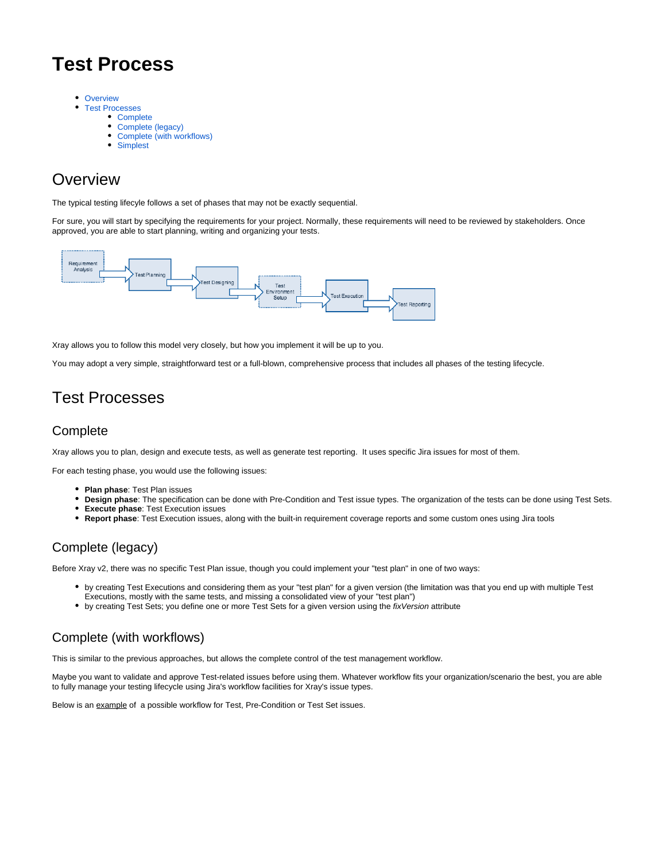# **Test Process**

- [Overview](#page-0-0)
	- [Test Processes](#page-0-1)
		- [Complete](#page-0-2)
			- [Complete \(legacy\)](#page-0-3)
			- [Complete \(with workflows\)](#page-0-4)
			- [Simplest](#page-1-0)

## <span id="page-0-0"></span>**Overview**

The typical testing lifecyle follows a set of phases that may not be exactly sequential.

For sure, you will start by specifying the requirements for your project. Normally, these requirements will need to be reviewed by stakeholders. Once approved, you are able to start planning, writing and organizing your tests.



Xray allows you to follow this model very closely, but how you implement it will be up to you.

You may adopt a very simple, straightforward test or a full-blown, comprehensive process that includes all phases of the testing lifecycle.

# <span id="page-0-1"></span>Test Processes

#### <span id="page-0-2"></span>**Complete**

Xray allows you to plan, design and execute tests, as well as generate test reporting. It uses specific Jira issues for most of them.

For each testing phase, you would use the following issues:

- **Plan phase**: Test Plan issues
- $\bullet$ **Design phase**: The specification can be done with Pre-Condition and Test issue types. The organization of the tests can be done using Test Sets.
- **Execute phase**: Test Execution issues
- **Report phase**: Test Execution issues, along with the built-in requirement coverage reports and some custom ones using Jira tools

#### <span id="page-0-3"></span>Complete (legacy)

Before Xray v2, there was no specific Test Plan issue, though you could implement your "test plan" in one of two ways:

- by creating Test Executions and considering them as your "test plan" for a given version (the limitation was that you end up with multiple Test Executions, mostly with the same tests, and missing a consolidated view of your "test plan")
- by creating Test Sets; you define one or more Test Sets for a given version using the fixVersion attribute

### <span id="page-0-4"></span>Complete (with workflows)

This is similar to the previous approaches, but allows the complete control of the test management workflow.

Maybe you want to validate and approve Test-related issues before using them. Whatever workflow fits your organization/scenario the best, you are able to fully manage your testing lifecycle using Jira's workflow facilities for Xray's issue types.

Below is an example of a possible workflow for Test, Pre-Condition or Test Set issues.